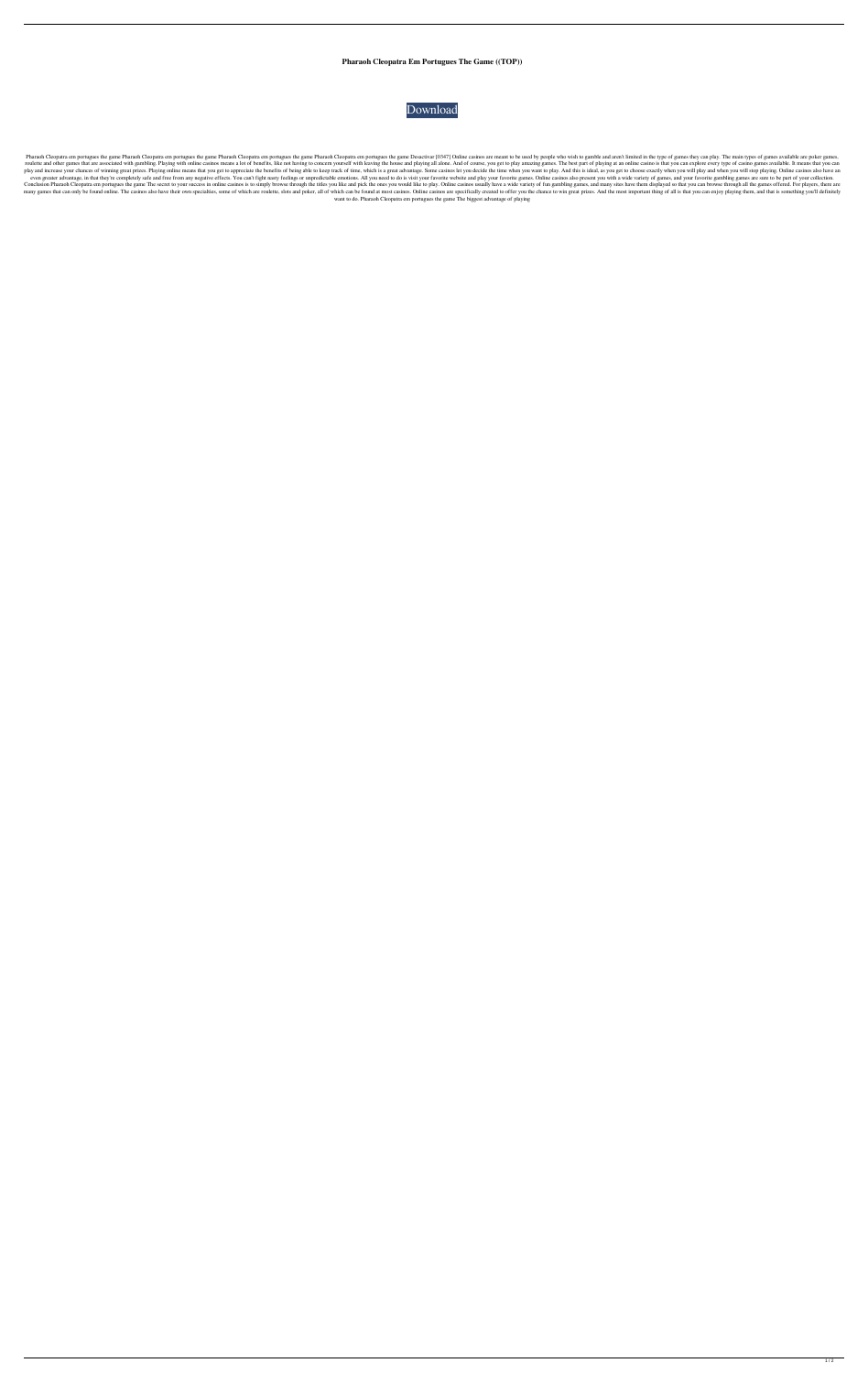**Pharaoh Cleopatra Em Portugues The Game ((TOP))**



Pharaoh Cleopatra em portugues the game Pharaoh Cleopatra em portugues the game Pharaoh Cleopatra em portugues the game Pharaoh Cleopatra em portugues the game Pharaoh Cleopatra em portugues the game Desactivar [0347] Onli roulette and other games that are associated with gambling. Playing with online casinos means a lot of benefits, like not having to concern yourself with leaving the house and playing all alone. And of course, you get to p play and increase your chances of winning great prizes. Playing online means that you get to appreciate the benefits of being able to keep track of time, which is a great advantage. Some casinos let you decide the time whe even greater advantage, in that they're completely safe and free from any negative effects. You can't fight nasty feelings or unpredictable emotions. All you need to do is visit your favorite website and play your favorite Conclusion Pharaoh Cleopatra em portugues the game The secret to your success in online casinos is to simply browse through the titles you like and pick the ones you would like to play. Online casinos usually have a wide v many games that can only be found online. The casinos also have their own specialties, some of which are roulette, slots and poker, all of which can be found at most casinos. Online casinos are specifically created to offe want to do. Pharaoh Cleopatra em portugues the game The biggest advantage of playing